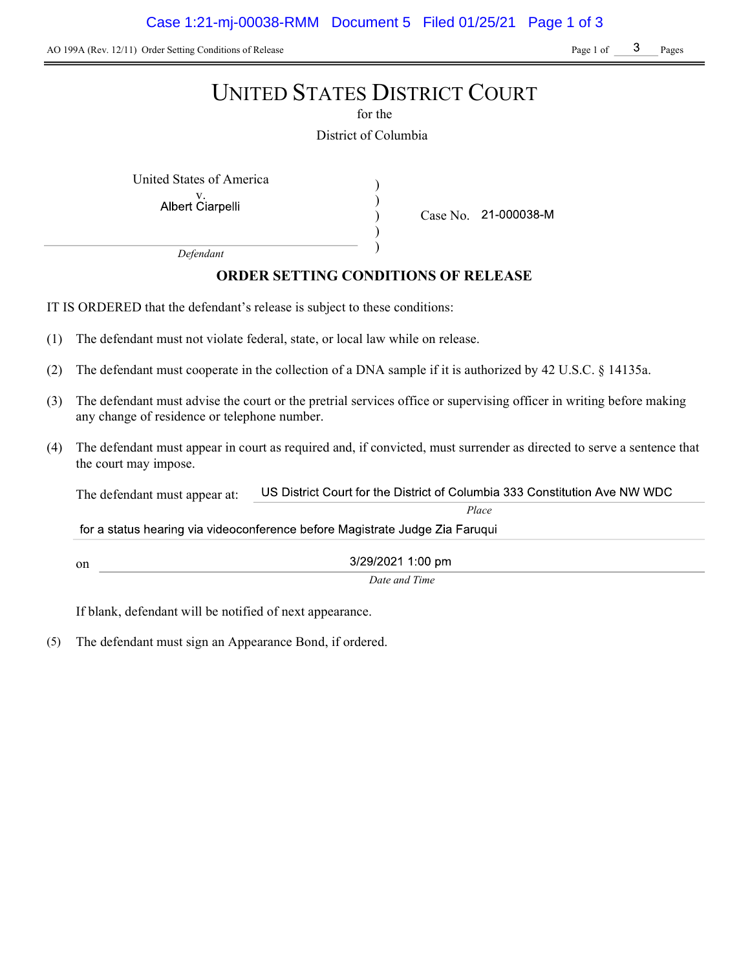AO 199A (Rev. 12/11) Order Setting Conditions of Release Page 1 of Page 1 of Pages

# UNITED STATES DISTRICT COURT

for the

District of Columbia

) ) ) )

United States of America (1992)

Albert Ciarpelli

Case No. 21-000038-M

Place

Defendant

# ORDER SETTING CONDITIONS OF RELEASE

IT IS ORDERED that the defendant's release is subject to these conditions:

- (1) The defendant must not violate federal, state, or local law while on release.
- (2) The defendant must cooperate in the collection of a DNA sample if it is authorized by 42 U.S.C. § 14135a.
- (3) The defendant must advise the court or the pretrial services office or supervising officer in writing before making any change of residence or telephone number.
- (4) The defendant must appear in court as required and, if convicted, must surrender as directed to serve a sentence that the court may impose.

US District Court for the District of Columbia 333 Constitution Ave NW WDC The defendant must appear at:

for a status hearing via videoconference before Magistrate Judge Zia Faruqui

on

3/29/2021 1:00 pm Date and Time

If blank, defendant will be notified of next appearance.

(5) The defendant must sign an Appearance Bond, if ordered.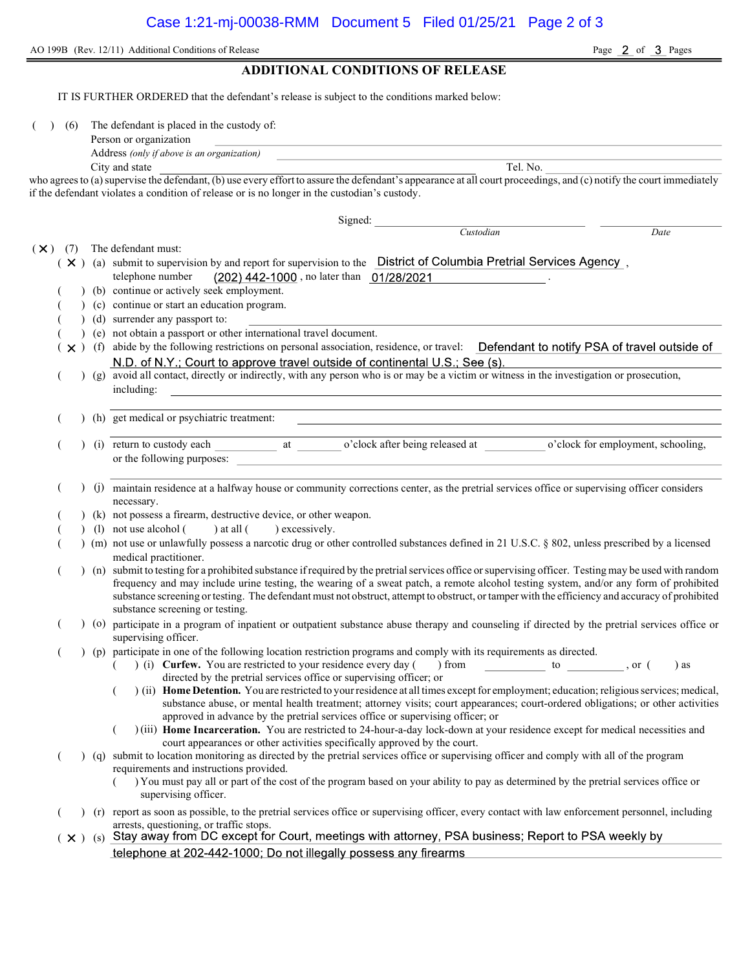|  |  | AO 199B (Rev. 12/11) Additional Conditions of Release |
|--|--|-------------------------------------------------------|
|--|--|-------------------------------------------------------|

Page 2 of 3 Pages

### ADDITIONAL CONDITIONS OF RELEASE

IT IS FURTHER ORDERED that the defendant's release is subject to the conditions marked below:

(6) The defendant is placed in the custody of:

| Person or organization |  |
|------------------------|--|
|                        |  |

Address (only if above is an organization)

City and state Tel. No.

who agrees to (a) supervise the defendant, (b) use every effort to assure the defendant's appearance at all court proceedings, and (c) notify the court immediately if the defendant violates a condition of release or is no longer in the custodian's custody.

Signed: Custodian Date  $(\times)$  (7) The defendant must:  $(X)$  (a) submit to supervision by and report for supervision to the District of Columbia Pretrial Services Agency, telephone number (202) 442-1000, no later than 01/28/2021 (b) continue or actively seek employment. (c) continue or start an education program. ( ) (d) surrender any passport to: ( ) (e) not obtain a passport or other international travel document.  $(\times)$  (f) abide by the following restrictions on personal association, residence, or travel: Defendant to notify PSA of travel outside of N.D. of N.Y.; Court to approve travel outside of continental U.S.; See (s). ( ) (g) avoid all contact, directly or indirectly, with any person who is or may be a victim or witness in the investigation or prosecution, including: ( ) (h) get medical or psychiatric treatment: (i) return to custody each at o'clock after being released at o'clock for employment, schooling, or the following purposes: ( ) (j) maintain residence at a halfway house or community corrections center, as the pretrial services office or supervising officer considers necessary. (k) not possess a firearm, destructive device, or other weapon. (1) not use alcohol  $($  ) at all  $($  ) excessively. ( ) (m) not use or unlawfully possess a narcotic drug or other controlled substances defined in 21 U.S.C. § 802, unless prescribed by a licensed medical practitioner. ( ) (n) submit to testing for a prohibited substance if required by the pretrial services office or supervising officer. Testing may be used with random frequency and may include urine testing, the wearing of a sweat patch, a remote alcohol testing system, and/or any form of prohibited substance screening or testing. The defendant must not obstruct, attempt to obstruct, or tamper with the efficiency and accuracy of prohibited substance screening or testing. ( ) (o) participate in a program of inpatient or outpatient substance abuse therapy and counseling if directed by the pretrial services office or supervising officer. ( ) (p) participate in one of the following location restriction programs and comply with its requirements as directed. ( ) (i) Curfew. You are restricted to your residence every day ( ) from to , or ( ) as directed by the pretrial services office or supervising officer; or  $($ ) (ii) Home Detention. You are restricted to your residence at all times except for employment; education; religious services; medical, substance abuse, or mental health treatment; attorney visits; court appearances; court-ordered obligations; or other activities approved in advance by the pretrial services office or supervising officer; or ( ) (iii) Home Incarceration. You are restricted to 24-hour-a-day lock-down at your residence except for medical necessities and court appearances or other activities specifically approved by the court. ( ) (q) submit to location monitoring as directed by the pretrial services office or supervising officer and comply with all of the program requirements and instructions provided. ( ) You must pay all or part of the cost of the program based on your ability to pay as determined by the pretrial services office or supervising officer. ( ) (r) report as soon as possible, to the pretrial services office or supervising officer, every contact with law enforcement personnel, including arrests, questioning, or traffic stops.  $(x)$  (s) Stay away from DC except for Court, meetings with attorney, PSA business; Report to PSA weekly by telephone at 202-442-1000; Do not illegally possess any firearms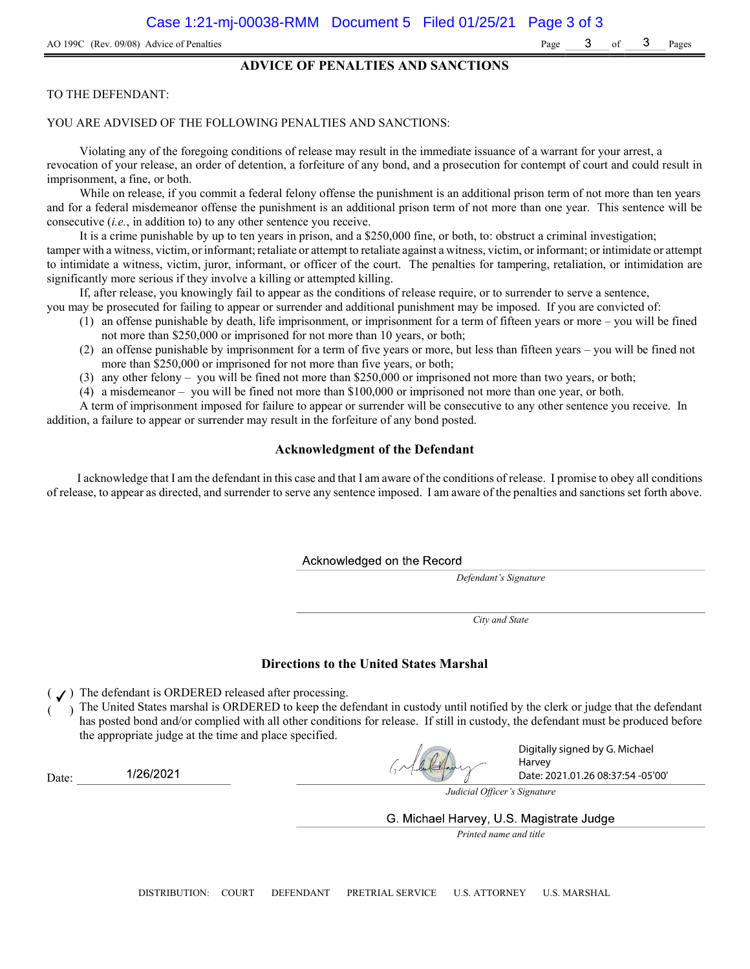#### ADVICE OF PENALTIES AND SANCTIONS

#### TO THE DEFENDANT:

#### YOU ARE ADVISED OF THE FOLLOWING PENALTIES AND SANCTIONS:

Violating any of the foregoing conditions of release may result in the immediate issuance of a warrant for your arrest, a revocation of your release, an order of detention, a forfeiture of any bond, and a prosecution for contempt of court and could result in imprisonment, a fine, or both.

While on release, if you commit a federal felony offense the punishment is an additional prison term of not more than ten years and for a federal misdemeanor offense the punishment is an additional prison term of not more than one year. This sentence will be consecutive (i.e., in addition to) to any other sentence you receive.

It is a crime punishable by up to ten years in prison, and a \$250,000 fine, or both, to: obstruct a criminal investigation; tamper with a witness, victim, or informant; retaliate or attempt to retaliate against a witness, victim, or informant; or intimidate or attempt to intimidate a witness, victim, juror, informant, or officer of the court. The penalties for tampering, retaliation, or intimidation are significantly more serious if they involve a killing or attempted killing.

If, after release, you knowingly fail to appear as the conditions of release require, or to surrender to serve a sentence,

- you may be prosecuted for failing to appear or surrender and additional punishment may be imposed. If you are convicted of: (1) an offense punishable by death, life imprisonment, or imprisonment for a term of fifteen years or more – you will be fined
	- not more than \$250,000 or imprisoned for not more than 10 years, or both;
	- (2) an offense punishable by imprisonment for a term of five years or more, but less than fifteen years you will be fined not more than \$250,000 or imprisoned for not more than five years, or both;
	- (3) any other felony you will be fined not more than \$250,000 or imprisoned not more than two years, or both;
	- (4) a misdemeanor you will be fined not more than \$100,000 or imprisoned not more than one year, or both.

A term of imprisonment imposed for failure to appear or surrender will be consecutive to any other sentence you receive. In addition, a failure to appear or surrender may result in the forfeiture of any bond posted.

#### Acknowledgment of the Defendant

I acknowledge that I am the defendant in this case and that I am aware of the conditions of release. I promise to obey all conditions of release, to appear as directed, and surrender to serve any sentence imposed. I am aware of the penalties and sanctions set forth above.

Acknowledged on the Record

Defendant's Signature

City and State

#### Directions to the United States Marshal

 $($   $J)$  The defendant is ORDERED released after processing.

1/26/2021

Date:

) The United States marshal is ORDERED to keep the defendant in custody until notified by the clerk or judge that the defendant has posted bond and/or complied with all other conditions for release. If still in custody, the defendant must be produced before the appropriate judge at the time and place specified.

Digitally signed by G. Michael Harvey Date: 2021.01.26 08:37:54 -05'00'

Judicial Officer's Signature

G. Michael Harvey, U.S. Magistrate Judge

Printed name and title

DISTRIBUTION: COURT DEFENDANT PRETRIAL SERVICE U.S. ATTORNEY U.S. MARSHAL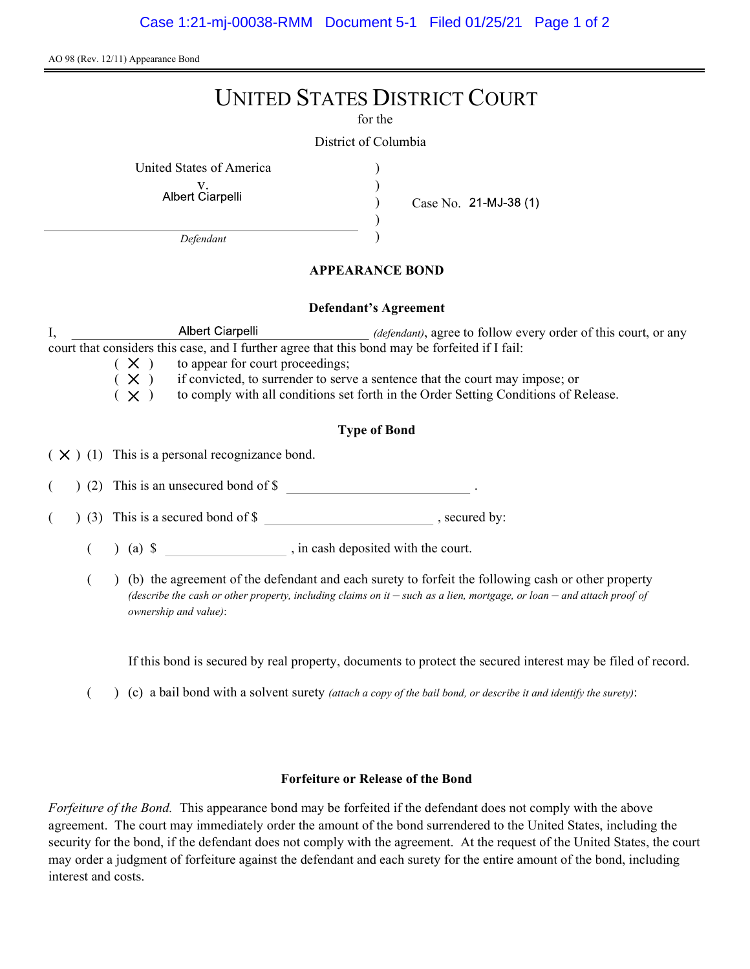AO 98 (Rev. 12/11) Appearance Bond

# UNITED STATES DISTRICT COURT

for the

) ) ) )

District of Columbia

United States of America )

v.<br>Albert Ciarpelli

Case No. 21-MJ-38 (1)

Defendant

## APPEARANCE BOND

### Defendant's Agreement

I, Albert Ciarpelli *(defendant)*, agree to follow every order of this court, or any court that considers this case, and I further agree that this bond may be forfeited if I fail:

 $(X)$  to appear for court proceedings;<br> $(X)$  if convicted, to surrender to serv  $(X)$  if convicted, to surrender to serve a sentence that the court may impose; or  $(X)$  to comply with all conditions set forth in the Order Setting Conditions of R

to comply with all conditions set forth in the Order Setting Conditions of Release.

# Type of Bond

 $(X)$  (1) This is a personal recognizance bond.

(2) This is an unsecured bond of \$

 $($   $)$  (3) This is a secured bond of \$, secured by:

 $($  ) (a)  $\$  , in cash deposited with the court.

( ) (b) the agreement of the defendant and each surety to forfeit the following cash or other property (describe the cash or other property, including claims on it  $-$  such as a lien, mortgage, or loan  $-$  and attach proof of ownership and value):

If this bond is secured by real property, documents to protect the secured interest may be filed of record.

( $\)$  (c) a bail bond with a solvent surety *(attach a copy of the bail bond, or describe it and identify the surety)*:

## Forfeiture or Release of the Bond

Forfeiture of the Bond. This appearance bond may be forfeited if the defendant does not comply with the above agreement. The court may immediately order the amount of the bond surrendered to the United States, including the security for the bond, if the defendant does not comply with the agreement. At the request of the United States, the court may order a judgment of forfeiture against the defendant and each surety for the entire amount of the bond, including interest and costs.